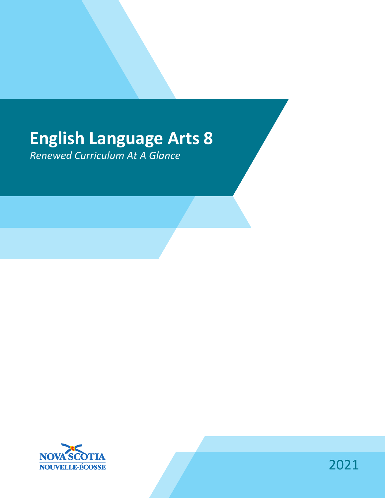# **English Language Arts 8**

*Renewed Curriculum At A Glance*



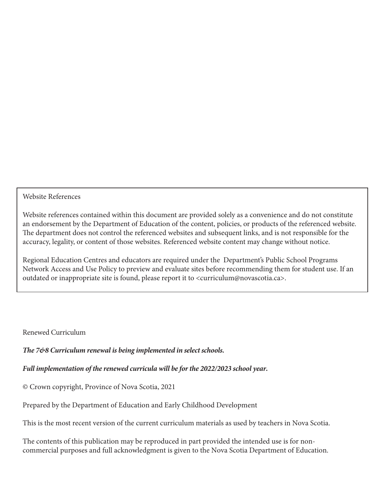#### Website References

Website references contained within this document are provided solely as a convenience and do not constitute an endorsement by the Department of Education of the content, policies, or products of the referenced website. The department does not control the referenced websites and subsequent links, and is not responsible for the accuracy, legality, or content of those websites. Referenced website content may change without notice.

Regional Education Centres and educators are required under the Department's Public School Programs Network Access and Use Policy to preview and evaluate sites before recommending them for student use. If an outdated or inappropriate site is found, please report it to <curriculum@novascotia.ca>.

#### Renewed Curriculum

*The 7&8 Curriculum renewal is being implemented in select schools.* 

#### *Full implementation of the renewed curricula will be for the 2022/2023 school year.*

© Crown copyright, Province of Nova Scotia, 2021

Prepared by the Department of Education and Early Childhood Development

This is the most recent version of the current curriculum materials as used by teachers in Nova Scotia.

The contents of this publication may be reproduced in part provided the intended use is for noncommercial purposes and full acknowledgment is given to the Nova Scotia Department of Education.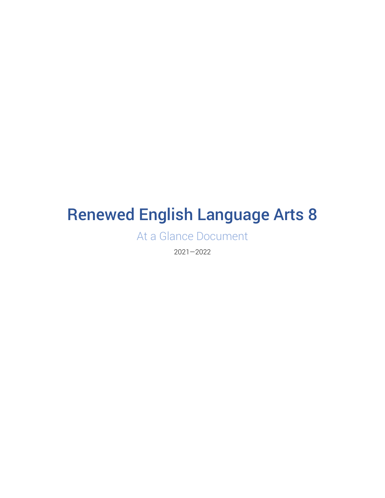# Renewed English Language Arts 8

At a Glance Document

2021—2022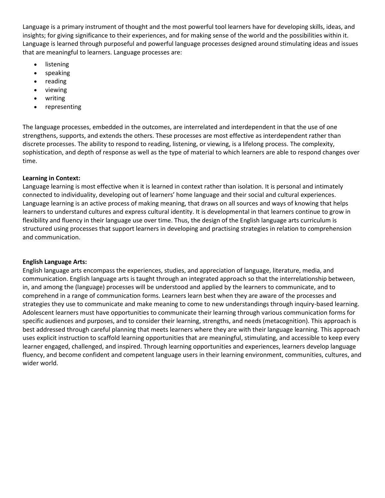Language is a primary instrument of thought and the most powerful tool learners have for developing skills, ideas, and insights; for giving significance to their experiences, and for making sense of the world and the possibilities within it. Language is learned through purposeful and powerful language processes designed around stimulating ideas and issues that are meaningful to learners. Language processes are:

- **listening**
- speaking
- reading
- viewing
- writing
- representing

The language processes, embedded in the outcomes, are interrelated and interdependent in that the use of one strengthens, supports, and extends the others. These processes are most effective as interdependent rather than discrete processes. The ability to respond to reading, listening, or viewing, is a lifelong process. The complexity, sophistication, and depth of response as well as the type of material to which learners are able to respond changes over time.

#### **Learning in Context:**

Language learning is most effective when it is learned in context rather than isolation. It is personal and intimately connected to individuality, developing out of learners' home language and their social and cultural experiences. Language learning is an active process of making meaning, that draws on all sources and ways of knowing that helps learners to understand cultures and express cultural identity. It is developmental in that learners continue to grow in flexibility and fluency in their language use over time. Thus, the design of the English language arts curriculum is structured using processes that support learners in developing and practising strategies in relation to comprehension and communication.

#### **English Language Arts:**

English language arts encompass the experiences, studies, and appreciation of language, literature, media, and communication. English language arts is taught through an integrated approach so that the interrelationship between, in, and among the (language) processes will be understood and applied by the learners to communicate, and to comprehend in a range of communication forms. Learners learn best when they are aware of the processes and strategies they use to communicate and make meaning to come to new understandings through inquiry-based learning. Adolescent learners must have opportunities to communicate their learning through various communication forms for specific audiences and purposes, and to consider their learning, strengths, and needs (metacognition). This approach is best addressed through careful planning that meets learners where they are with their language learning. This approach uses explicit instruction to scaffold learning opportunities that are meaningful, stimulating, and accessible to keep every learner engaged, challenged, and inspired. Through learning opportunities and experiences, learners develop language fluency, and become confident and competent language users in their learning environment, communities, cultures, and wider world.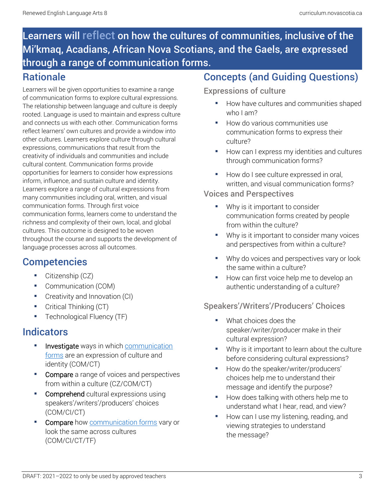# Learners will reflect on how the cultures of communities, inclusive of the Mi'kmaq, Acadians, African Nova Scotians, and the Gaels, are expressed through a range of communication forms.

### **Rationale**

Learners will be given opportunities to examine a range of communication forms to explore cultural expressions. The relationship between language and culture is deeply rooted. Language is used to maintain and express culture and connects us with each other. Communication forms reflect learners' own cultures and provide a window into other cultures. Learners explore culture through cultural expressions, communications that result from the creativity of individuals and communities and include cultural content. Communication forms provide opportunities for learners to consider how expressions inform, influence, and sustain culture and identity. Learners explore a range of cultural expressions from many communities including oral, written, and visual communication forms. Through first voice communication forms, learners come to understand the richness and complexity of their own, local, and global cultures. This outcome is designed to be woven throughout the course and supports the development of language processes across all outcomes.

# **Competencies**

- **•** Citizenship (CZ)
- Communication (COM)
- **•** Creativity and Innovation (CI)
- **•** Critical Thinking (CT)
- **•** Technological Fluency (TF)

## **Indicators**

- Investigate ways in which communication [forms](https://docs.google.com/document/d/1-DCt1N21SgHOLi57jRa2CeU13wnZ46EwCNvGY5PQfRY/edit) are an expression of culture and identity (COM/CT)
- **Compare** a range of voices and perspectives from within a culture (CZ/COM/CT)
- Comprehend cultural expressions using speakers'/writers'/producers' choices (COM/CI/CT)
- Compare how [communication forms](https://docs.google.com/document/d/1-DCt1N21SgHOLi57jRa2CeU13wnZ46EwCNvGY5PQfRY/edit) vary or look the same across cultures (COM/CI/CT/TF)

### Concepts (and Guiding Questions)

### Expressions of culture

- How have cultures and communities shaped who I am?
- How do various communities use communication forms to express their culture?
- How can I express my identities and cultures through communication forms?
- How do I see culture expressed in oral, written, and visual communication forms?

#### Voices and Perspectives

- Why is it important to consider communication forms created by people from within the culture?
- Why is it important to consider many voices and perspectives from within a culture?
- Why do voices and perspectives vary or look the same within a culture?
- How can first voice help me to develop an authentic understanding of a culture?

### Speakers'/Writers'/Producers' Choices

- What choices does the speaker/writer/producer make in their cultural expression?
- Why is it important to learn about the culture before considering cultural expressions?
- How do the speaker/writer/producers' choices help me to understand their message and identify the purpose?
- How does talking with others help me to understand what I hear, read, and view?
- How can I use my listening, reading, and viewing strategies to understand the message?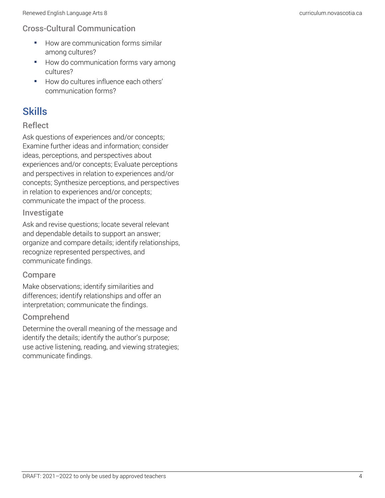### Cross-Cultural Communication

- How are communication forms similar among cultures?
- How do communication forms vary among cultures?
- How do cultures influence each others' communication forms?

# Skills

#### **Reflect**

Ask questions of experiences and/or concepts; Examine further ideas and information; consider ideas, perceptions, and perspectives about experiences and/or concepts; Evaluate perceptions and perspectives in relation to experiences and/or concepts; Synthesize perceptions, and perspectives in relation to experiences and/or concepts; communicate the impact of the process.

#### Investigate

Ask and revise questions; locate several relevant and dependable details to support an answer; organize and compare details; identify relationships, recognize represented perspectives, and communicate findings.

#### Compare

Make observations; identify similarities and differences; identify relationships and offer an interpretation; communicate the findings.

#### Comprehend

Determine the overall meaning of the message and identify the details; identify the author's purpose; use active listening, reading, and viewing strategies; communicate findings.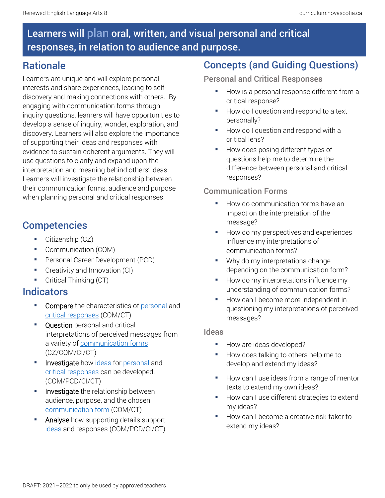# Learners will plan oral, written, and visual personal and critical responses, in relation to audience and purpose.

### **Rationale**

Learners are unique and will explore personal interests and share experiences, leading to selfdiscovery and making connections with others. By engaging with communication forms through inquiry questions, learners will have opportunities to develop a sense of inquiry, wonder, exploration, and discovery. Learners will also explore the importance of supporting their ideas and responses with evidence to sustain coherent arguments. They will use questions to clarify and expand upon the interpretation and meaning behind others' ideas. Learners will investigate the relationship between their communication forms, audience and purpose when planning personal and critical responses.

# **Competencies**

- **•** Citizenship (CZ)
- Communication (COM)
- **•** Personal Career Development (PCD)
- **•** Creativity and Innovation (CI)
- **•** Critical Thinking (CT)

### Indicators

- **Compare** the characteristics of [personal](https://docs.google.com/document/d/15rJohIQdCrdU6idavpwdAkNn1Rh9TcuyHTmjfmcgxdY/edit) and [critical responses](https://docs.google.com/document/d/1sKzxCnO1Z-UAzHrmehaxeIGtHn3V7Rl-rAj8F60jAgE/edit) (COM/CT)
- **Question** personal and critical interpretations of perceived messages from a variety of [communication forms](https://docs.google.com/document/d/1-DCt1N21SgHOLi57jRa2CeU13wnZ46EwCNvGY5PQfRY/edit) (CZ/COM/CI/CT)
- Investigate how [ideas](https://docs.google.com/document/d/1otaB-gkc7M3iSWwqNsucG4DZUDcc5tFs58TZP_B0zfg/edit) for [personal](https://docs.google.com/document/d/15rJohIQdCrdU6idavpwdAkNn1Rh9TcuyHTmjfmcgxdY/edit) and [critical responses](https://docs.google.com/document/d/1sKzxCnO1Z-UAzHrmehaxeIGtHn3V7Rl-rAj8F60jAgE/edit) can be developed. (COM/PCD/CI/CT)
- **Investigate** the relationship between audience, purpose, and the chosen [communication form](https://docs.google.com/document/d/1-DCt1N21SgHOLi57jRa2CeU13wnZ46EwCNvGY5PQfRY/edit) (COM/CT)
- **E** Analyse how supporting details support [ideas](https://docs.google.com/document/d/1otaB-gkc7M3iSWwqNsucG4DZUDcc5tFs58TZP_B0zfg/edit) and responses (COM/PCD/CI/CT)

# Concepts (and Guiding Questions)

#### Personal and Critical Responses

- How is a personal response different from a critical response?
- How do I question and respond to a text personally?
- How do I question and respond with a critical lens?
- How does posing different types of questions help me to determine the difference between personal and critical responses?

### Communication Forms

- How do communication forms have an impact on the interpretation of the message?
- How do my perspectives and experiences influence my interpretations of communication forms?
- Why do my interpretations change depending on the communication form?
- How do my interpretations influence my understanding of communication forms?
- How can I become more independent in questioning my interpretations of perceived messages?

#### Ideas

- How are ideas developed?
- How does talking to others help me to develop and extend my ideas?
- How can I use ideas from a range of mentor texts to extend my own ideas?
- How can I use different strategies to extend my ideas?
- How can I become a creative risk-taker to extend my ideas?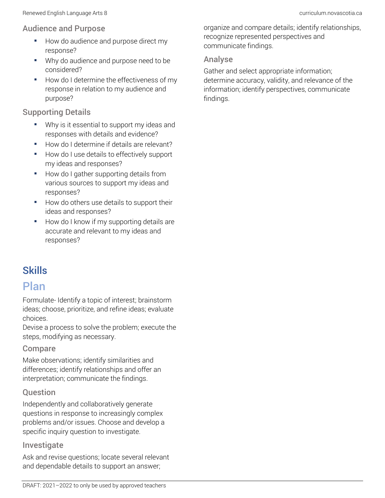#### Audience and Purpose

- How do audience and purpose direct my response?
- Why do audience and purpose need to be considered?
- How do I determine the effectiveness of my response in relation to my audience and purpose?

### Supporting Details

- Why is it essential to support my ideas and responses with details and evidence?
- How do I determine if details are relevant?
- How do I use details to effectively support my ideas and responses?
- How do I gather supporting details from various sources to support my ideas and responses?
- How do others use details to support their ideas and responses?
- How do I know if my supporting details are accurate and relevant to my ideas and responses?

# Skills

### Plan

Formulate- Identify a topic of interest; brainstorm ideas; choose, prioritize, and refine ideas; evaluate choices.

Devise a process to solve the problem; execute the steps, modifying as necessary.

### Compare

Make observations; identify similarities and differences; identify relationships and offer an interpretation; communicate the findings.

### **Ouestion**

Independently and collaboratively generate questions in response to increasingly complex problems and/or issues. Choose and develop a specific inquiry question to investigate.

### Investigate

Ask and revise questions; locate several relevant and dependable details to support an answer;

organize and compare details; identify relationships, recognize represented perspectives and communicate findings.

### Analyse

Gather and select appropriate information; determine accuracy, validity, and relevance of the information; identify perspectives, communicate findings.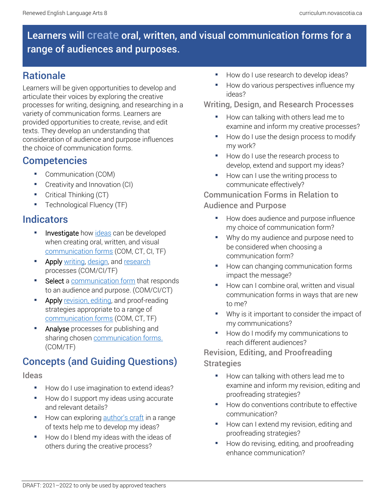# Learners will create oral, written, and visual communication forms for a range of audiences and purposes.

## **Rationale**

Learners will be given opportunities to develop and articulate their voices by exploring the creative processes for writing, designing, and researching in a variety of communication forms. Learners are provided opportunities to create, revise, and edit texts. They develop an understanding that consideration of audience and purpose influences the choice of communication forms.

### **Competencies**

- Communication (COM)
- Creativity and Innovation (CI)
- **•** Critical Thinking (CT)
- **•** Technological Fluency (TF)

# Indicators

- Investigate how [ideas](https://docs.google.com/document/d/1otaB-gkc7M3iSWwqNsucG4DZUDcc5tFs58TZP_B0zfg/edit) can be developed when creating oral, written, and visual [communication forms](https://docs.google.com/document/d/1-DCt1N21SgHOLi57jRa2CeU13wnZ46EwCNvGY5PQfRY/edit) (COM, CT, CI, TF)
- Apply [writing,](https://docs.google.com/document/d/1SZwaEiqOPHDCuPzGV9i1TccTqzmrQAk3bTEi1gz8-F0/edit) [design,](https://docs.google.com/document/d/1IeYVtk_GjPm03Yvwq2Fat3gt2xyY69yTGY_rLRDTc9A/edit) and [research](https://docs.google.com/document/d/1vvsKe5NzTFzvQ16QZOHVntkEezBymuEemkv4cvBoaiY/edit) processes (COM/CI/TF)
- Select a [communication form](https://docs.google.com/document/d/1-DCt1N21SgHOLi57jRa2CeU13wnZ46EwCNvGY5PQfRY/edit) that responds to an audience and purpose. (COM/CI/CT)
- **EXECT** Apply [revision, editing,](https://docs.google.com/document/d/1Tk9y11L1eTLrS3giecbzlKXy_LE9g2tfIAIdRqYefYU/edit) and proof-reading strategies appropriate to a range of [communication forms](https://docs.google.com/document/d/1-DCt1N21SgHOLi57jRa2CeU13wnZ46EwCNvGY5PQfRY/edit) (COM, CT, TF)
- Analyse processes for publishing and sharing chosen [communication forms.](https://docs.google.com/document/d/1-DCt1N21SgHOLi57jRa2CeU13wnZ46EwCNvGY5PQfRY/edit) (COM/TF)

# Concepts (and Guiding Questions)

### Ideas

- How do I use imagination to extend ideas?
- How do I support my ideas using accurate and relevant details?
- How can exploring [author's craft](https://docs.google.com/document/d/1CVWfeoLinGuJfZP1QqRHe70W8yIipC5wlZZACrxzcMw/edit) in a range of texts help me to develop my ideas?
- How do I blend my ideas with the ideas of others during the creative process?
- How do I use research to develop ideas?
- How do various perspectives influence my ideas?

### Writing, Design, and Research Processes

- How can talking with others lead me to examine and inform my creative processes?
- How do I use the design process to modify my work?
- How do I use the research process to develop, extend and support my ideas?
- How can I use the writing process to communicate effectively?

### Communication Forms in Relation to Audience and Purpose

- How does audience and purpose influence my choice of communication form?
- Why do my audience and purpose need to be considered when choosing a communication form?
- How can changing communication forms impact the message?
- How can I combine oral, written and visual communication forms in ways that are new to me?
- Why is it important to consider the impact of my communications?
- How do I modify my communications to reach different audiences?

### Revision, Editing, and Proofreading **Strategies**

- How can talking with others lead me to examine and inform my revision, editing and proofreading strategies?
- How do conventions contribute to effective communication?
- How can I extend my revision, editing and proofreading strategies?
- How do revising, editing, and proofreading enhance communication?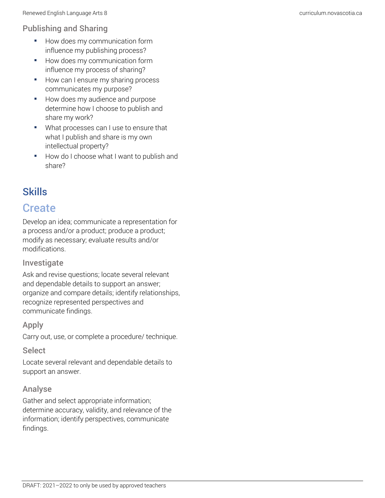### Publishing and Sharing

- **•** How does my communication form influence my publishing process?
- How does my communication form influence my process of sharing?
- How can I ensure my sharing process communicates my purpose?
- How does my audience and purpose determine how I choose to publish and share my work?
- What processes can I use to ensure that what I publish and share is my own intellectual property?
- How do I choose what I want to publish and share?

# Skills

# **Create**

Develop an idea; communicate a representation for a process and/or a product; produce a product; modify as necessary; evaluate results and/or modifications.

### Investigate

Ask and revise questions; locate several relevant and dependable details to support an answer; organize and compare details; identify relationships, recognize represented perspectives and communicate findings.

### Apply

Carry out, use, or complete a procedure/ technique.

### Select

Locate several relevant and dependable details to support an answer.

### Analyse

Gather and select appropriate information; determine accuracy, validity, and relevance of the information; identify perspectives, communicate findings.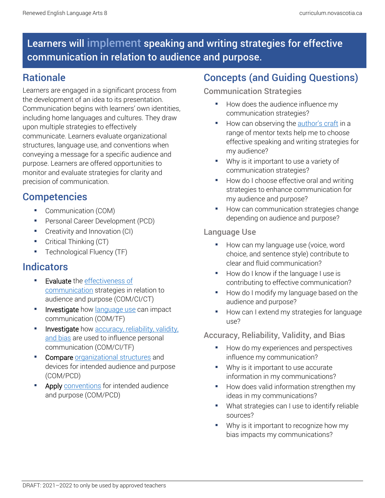# Learners will implement speaking and writing strategies for effective communication in relation to audience and purpose.

### **Rationale**

Learners are engaged in a significant process from the development of an idea to its presentation. Communication begins with learners' own identities, including home languages and cultures. They draw upon multiple strategies to effectively communicate. Learners evaluate organizational structures, language use, and conventions when conveying a message for a specific audience and purpose. Learners are offered opportunities to monitor and evaluate strategies for clarity and precision of communication.

# **Competencies**

- Communication (COM)
- Personal Career Development (PCD)
- **•** Creativity and Innovation (CI)
- Critical Thinking (CT)
- **•** Technological Fluency (TF)

### Indicators

- **Evaluate** the effectiveness of [communication](https://docs.google.com/document/d/1sRgze0uzM0zlJXv5CDTb1czIJdwvEYVM3H0Pf5a8Qv4/edit) strategies in relation to audience and purpose (COM/CI/CT)
- **EXEDEE Investigate** how [language use](https://docs.google.com/document/d/11UjSzjQVUSjyRXlhrilmuqcfgeqerdxt06inmPMMfxo/edit) can impact communication (COM/TF)
- Investigate how accuracy, reliability, validity, [and bias](https://docs.google.com/document/d/1283HgrnOVYkLXKATWNihNk7bqCEa73FvGRPXX4BVIok/edit) are used to influence personal communication (COM/CI/TF)
- Compare [organizational structures](https://docs.google.com/document/d/1KqBJUpYK2FU-lcTWKI8YJDC7cm3LItGafBNVOI4N6QQ/edit) and devices for intended audience and purpose (COM/PCD)
- Apply [conventions](https://docs.google.com/document/d/1d3VZ0sRhVVodMn7GF_Gklbz6o2zV112hZQwpkSZxbVo/edit) for intended audience and purpose (COM/PCD)

## Concepts (and Guiding Questions)

### Communication Strategies

- How does the audience influence my communication strategies?
- How can observing the [author's craft](https://docs.google.com/document/d/1CVWfeoLinGuJfZP1QqRHe70W8yIipC5wlZZACrxzcMw/edit) in a range of mentor texts help me to choose effective speaking and writing strategies for my audience?
- Why is it important to use a variety of communication strategies?
- How do I choose effective oral and writing strategies to enhance communication for my audience and purpose?
- How can communication strategies change depending on audience and purpose?

### Language Use

- How can my language use (voice, word choice, and sentence style) contribute to clear and fluid communication?
- How do I know if the language I use is contributing to effective communication?
- How do I modify my language based on the audience and purpose?
- How can I extend my strategies for language use?

### Accuracy, Reliability, Validity, and Bias

- How do my experiences and perspectives influence my communication?
- Why is it important to use accurate information in my communications?
- How does valid information strengthen my ideas in my communications?
- What strategies can I use to identify reliable sources?
- Why is it important to recognize how my bias impacts my communications?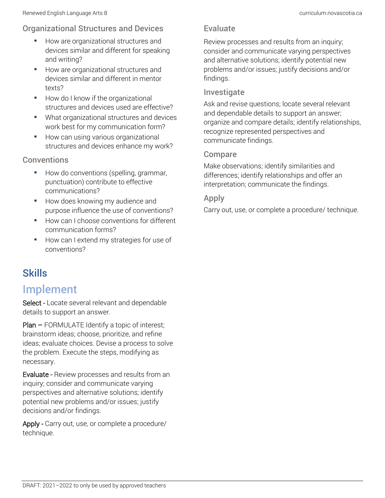### Organizational Structures and Devices

- **How are organizational structures and** devices similar and different for speaking and writing?
- How are organizational structures and devices similar and different in mentor texts?
- How do I know if the organizational structures and devices used are effective?
- What organizational structures and devices work best for my communication form?
- How can using various organizational structures and devices enhance my work?

### **Conventions**

- How do conventions (spelling, grammar, punctuation) contribute to effective communications?
- How does knowing my audience and purpose influence the use of conventions?
- How can I choose conventions for different communication forms?
- How can I extend my strategies for use of conventions?

# **Skills**

# Implement

Select - Locate several relevant and dependable details to support an answer.

Plan – FORMULATE Identify a topic of interest; brainstorm ideas; choose, prioritize, and refine ideas; evaluate choices. Devise a process to solve the problem. Execute the steps, modifying as necessary.

Evaluate - Review processes and results from an inquiry; consider and communicate varying perspectives and alternative solutions; identify potential new problems and/or issues; justify decisions and/or findings.

Apply - Carry out, use, or complete a procedure/ technique.

### Evaluate

Review processes and results from an inquiry; consider and communicate varying perspectives and alternative solutions; identify potential new problems and/or issues; justify decisions and/or findings.

### Investigate

Ask and revise questions; locate several relevant and dependable details to support an answer; organize and compare details; identify relationships, recognize represented perspectives and communicate findings.

#### Compare

Make observations; identify similarities and differences; identify relationships and offer an interpretation; communicate the findings.

### Apply

Carry out, use, or complete a procedure/ technique.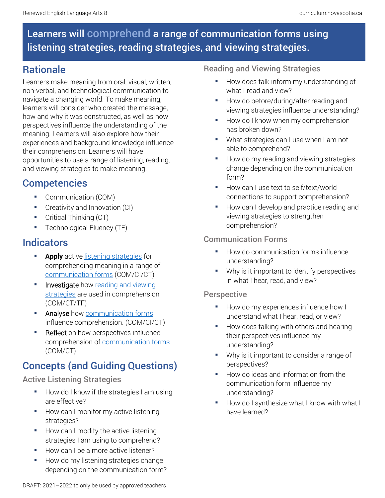# Learners will comprehend a range of communication forms using listening strategies, reading strategies, and viewing strategies.

# **Rationale**

Learners make meaning from oral, visual, written, non-verbal, and technological communication to navigate a changing world. To make meaning, learners will consider who created the message, how and why it was constructed, as well as how perspectives influence the understanding of the meaning. Learners will also explore how their experiences and background knowledge influence their comprehension. Learners will have opportunities to use a range of listening, reading, and viewing strategies to make meaning.

### **Competencies**

- Communication (COM)
- Creativity and Innovation (CI)
- **•** Critical Thinking (CT)
- Technological Fluency (TF)

### Indicators

- **Apply** active [listening strategies](https://docs.google.com/document/d/1NMy8Ttm7b5rRaPtCvewPYsRHbqdW66VU1SURHyiunpg/edit) for comprehending meaning in a range of [communication forms](https://docs.google.com/document/d/1-DCt1N21SgHOLi57jRa2CeU13wnZ46EwCNvGY5PQfRY/edit) (COM/CI/CT)
- **E** Investigate how reading and viewing [strategies](https://docs.google.com/document/d/16J_sX-92PnLOKp8AVKtHQBt-H0Ayn5NtdPlHxou71eg/edit) are used in comprehension (COM/CT/TF)
- **E** Analyse how [communication forms](https://docs.google.com/document/d/1-DCt1N21SgHOLi57jRa2CeU13wnZ46EwCNvGY5PQfRY/edit) influence comprehension. (COM/CI/CT)
- **Reflect** on how perspectives influence comprehension of [communication forms](https://docs.google.com/document/d/1-DCt1N21SgHOLi57jRa2CeU13wnZ46EwCNvGY5PQfRY/edit) (COM/CT)

# Concepts (and Guiding Questions)

### Active Listening Strategies

- How do I know if the strategies I am using are effective?
- How can I monitor my active listening strategies?
- How can I modify the active listening strategies I am using to comprehend?
- How can I be a more active listener?
- How do my listening strategies change depending on the communication form?

### Reading and Viewing Strategies

- How does talk inform my understanding of what I read and view?
- How do before/during/after reading and viewing strategies influence understanding?
- How do I know when my comprehension has broken down?
- What strategies can I use when I am not able to comprehend?
- How do my reading and viewing strategies change depending on the communication form?
- How can I use text to self/text/world connections to support comprehension?
- How can I develop and practice reading and viewing strategies to strengthen comprehension?

### Communication Forms

- How do communication forms influence understanding?
- Why is it important to identify perspectives in what I hear, read, and view?

### **Perspective**

- How do my experiences influence how I understand what I hear, read, or view?
- How does talking with others and hearing their perspectives influence my understanding?
- Why is it important to consider a range of perspectives?
- How do ideas and information from the communication form influence my understanding?
- How do I synthesize what I know with what I have learned?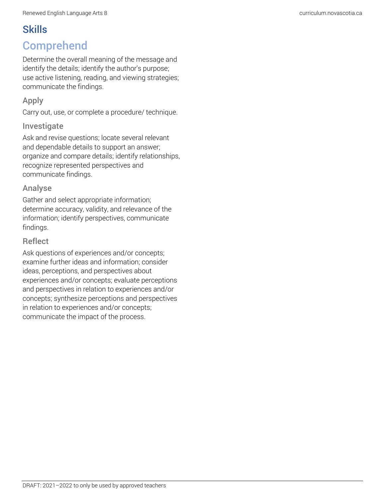# **Skills** Comprehend

Determine the overall meaning of the message and identify the details; identify the author's purpose; use active listening, reading, and viewing strategies; communicate the findings.

### Apply

Carry out, use, or complete a procedure/ technique.

### Investigate

Ask and revise questions; locate several relevant and dependable details to support an answer; organize and compare details; identify relationships, recognize represented perspectives and communicate findings.

### Analyse

Gather and select appropriate information; determine accuracy, validity, and relevance of the information; identify perspectives, communicate findings.

### **Reflect**

Ask questions of experiences and/or concepts; examine further ideas and information; consider ideas, perceptions, and perspectives about experiences and/or concepts; evaluate perceptions and perspectives in relation to experiences and/or concepts; synthesize perceptions and perspectives in relation to experiences and/or concepts; communicate the impact of the process.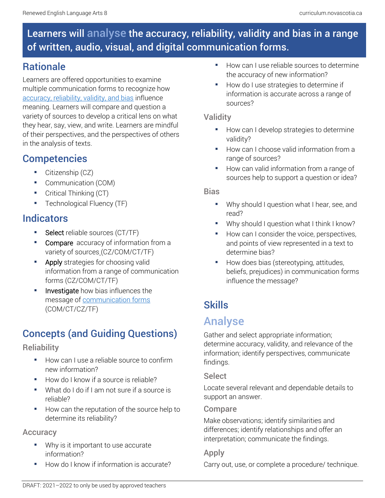# Learners will analyse the accuracy, reliability, validity and bias in a range of written, audio, visual, and digital communication forms.

## **Rationale**

Learners are offered opportunities to examine multiple communication forms to recognize how [accuracy, reliability, validity, and bias](https://docs.google.com/document/d/1283HgrnOVYkLXKATWNihNk7bqCEa73FvGRPXX4BVIok/edit) influence meaning. Learners will compare and question a variety of sources to develop a critical lens on what they hear, say, view, and write. Learners are mindful of their perspectives, and the perspectives of others in the analysis of texts.

# **Competencies**

- Citizenship (CZ)
- Communication (COM)
- **•** Critical Thinking (CT)
- **Technological Fluency (TF)**

# **Indicators**

- Select reliable sources (CT/TF)
- **Compare** [a](https://docs.google.com/document/d/1283HgrnOVYkLXKATWNihNk7bqCEa73FvGRPXX4BVIok/edit?usp=sharing)ccuracy of information from a variety of sources (CZ/COM/CT/TF)
- Apply strategies for choosing valid information from a range of communication forms (CZ/COM/CT/TF)
- Investigate how bias influences the message of [communication forms](https://docs.google.com/document/d/1-DCt1N21SgHOLi57jRa2CeU13wnZ46EwCNvGY5PQfRY/edit) (COM/CT/CZ/TF)

# Concepts (and Guiding Questions)

### **Reliability**

- How can I use a reliable source to confirm new information?
- How do I know if a source is reliable?
- What do I do if I am not sure if a source is reliable?
- How can the reputation of the source help to determine its reliability?

### **Accuracy**

- Why is it important to use accurate information?
- How do I know if information is accurate?
- How can I use reliable sources to determine the accuracy of new information?
- How do I use strategies to determine if information is accurate across a range of sources?

### **Validity**

- How can I develop strategies to determine validity?
- How can I choose valid information from a range of sources?
- How can valid information from a range of sources help to support a question or idea?

### **Rias**

- Why should I question what I hear, see, and read?
- Why should I question what I think I know?
- How can I consider the voice, perspectives, and points of view represented in a text to determine bias?
- How does bias (stereotyping, attitudes, beliefs, prejudices) in communication forms influence the message?

# **Skills**

# Analyse

Gather and select appropriate information; determine accuracy, validity, and relevance of the information; identify perspectives, communicate findings.

### **Select**

Locate several relevant and dependable details to support an answer.

### Compare

Make observations; identify similarities and differences; identify relationships and offer an interpretation; communicate the findings.

### Apply

Carry out, use, or complete a procedure/ technique.